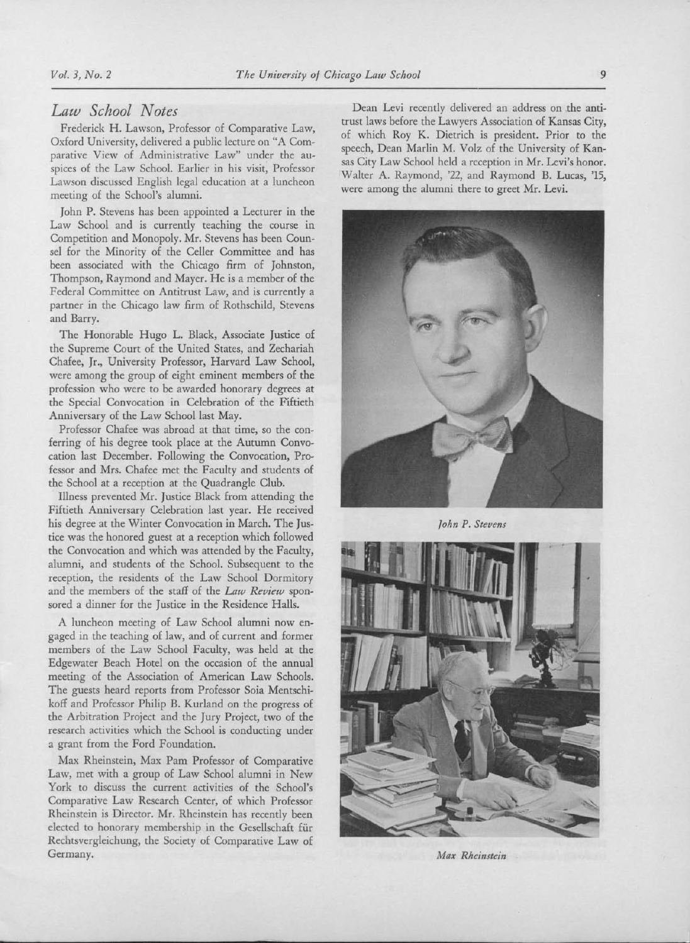## Law School Notes

Frederick H. Lawson, Professor of Comparative Law, Oxford University, delivered <sup>a</sup> public lecture on "A Comparative View of Administrative Law" under the auspices of the Law School. Earlier in his visit, Professor Lawson discussed English legal education at <sup>a</sup> luncheon meeting of the School's alumni.

John P. Stevens has been appointed <sup>a</sup> Lecturer in the Law School and is currently teaching the course in Competition and Monopoly. Mr. Stevens has been Counsel for the Minority of the Celler Committee and has been associated with the Chicago firm of Johnston, Thompson, Raymond and Mayer. He is <sup>a</sup> member of the Federal Committee on Antitrust Law, and is currently <sup>a</sup> partner in the Chicago law firm of Rothschild, Stevens and Barry.

The Honorable Hugo L. Black, Associate Justice of the Supreme Court of the United States, and Zechariah Chafee, Jr., University Professor, Harvard Law School, were among the group of eight eminent members of the profession who were to be awarded honorary degrees at the Special Convocation in Celebration of the Fiftieth Anniversary of the Law School last May.

Professor Chafee was abroad at that time, so the conferring of his degree took place at the Autumn Convocation last December. Following the Convocation, Professor and Mrs. Chafee met the Faculty and students of the School at a reception at the Quadrangle Club.

Illness prevented Mr. Justice Black from attending the Fiftieth Anniversary Celebration last year. He received his degree at the Winter Convocation in March. The Justice was the honored guest at <sup>a</sup> reception which followed the Convocation and which was attended by the Faculty, alumni, and students of the School. Subsequent to the reception, the residents of the Law School Dormitory and the members of the staff of the Law Review sponsored <sup>a</sup> dinner for the Justice in the Residence Halls.

A luncheon meeting of Law School alumni now engaged in the teaching of law, and of current and former members of the Law School Faculty, was held at the Edgewater Beach Hotel on the occasion of the annual meeting of the Association of American Law Schools. The guests heard reports from Professor Soia Mentschikoff and Professor Philip B. Kurland on the progress of the Arbitration Project and the Jury Project, two of the research activities which the School is conducting under <sup>a</sup> grant from the Ford Foundation.

Max Rheinstein, Max Pam Professor of Comparative Law, met with <sup>a</sup> group of Law School alumni in New York to discuss the current activities of the School's Comparative Law Research Center, of which Professor Rheinstein is Director. Mr. Rheinstein has recently been elected to honorary membership in the Gesellschaft fur Rechtsvergleichung, the Society of Comparative Law of Germany.

Dean Levi recently delivered an address on the antitrust laws before the Lawyers Association of Kansas City, of which Roy K. Dietrich is president. Prior to the speech, Dean Marlin M. Volz of the University of Kansas City Law School held <sup>a</sup> reception in Mr. Levi's honor. 'Walter A. Raymond, '22, and Raymond B. Lucas, '15, were among the alumni there to greet Mr. Levi.



John P. Stevens



Max Rheinstein